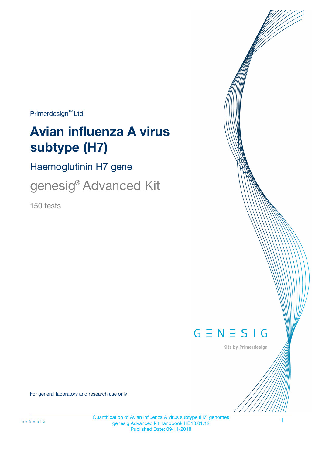$Primerdesign^{\text{TM}}Ltd$ 

# **Avian influenza A virus subtype (H7)**

Haemoglutinin H7 gene

genesig® Advanced Kit

150 tests



Kits by Primerdesign

For general laboratory and research use only

1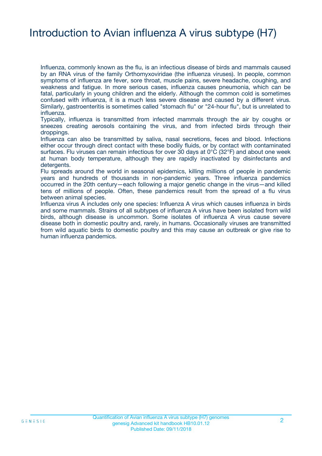### Introduction to Avian influenza A virus subtype (H7)

Influenza, commonly known as the flu, is an infectious disease of birds and mammals caused by an RNA virus of the family Orthomyxoviridae (the influenza viruses). In people, common symptoms of influenza are fever, sore throat, muscle pains, severe headache, coughing, and weakness and fatigue. In more serious cases, influenza causes pneumonia, which can be fatal, particularly in young children and the elderly. Although the common cold is sometimes confused with influenza, it is a much less severe disease and caused by a different virus. Similarly, gastroenteritis is sometimes called "stomach flu" or "24-hour flu", but is unrelated to influenza.

Typically, influenza is transmitted from infected mammals through the air by coughs or sneezes creating aerosols containing the virus, and from infected birds through their droppings.

Influenza can also be transmitted by saliva, nasal secretions, feces and blood. Infections either occur through direct contact with these bodily fluids, or by contact with contaminated surfaces. Flu viruses can remain infectious for over 30 days at 0°C (32°F) and about one week at human body temperature, although they are rapidly inactivated by disinfectants and detergents.

Flu spreads around the world in seasonal epidemics, killing millions of people in pandemic years and hundreds of thousands in non-pandemic years. Three influenza pandemics occurred in the 20th century—each following a major genetic change in the virus—and killed tens of millions of people. Often, these pandemics result from the spread of a flu virus between animal species.

Influenza virus A includes only one species: Influenza A virus which causes influenza in birds and some mammals. Strains of all subtypes of influenza A virus have been isolated from wild birds, although disease is uncommon. Some isolates of influenza A virus cause severe disease both in domestic poultry and, rarely, in humans. Occasionally viruses are transmitted from wild aquatic birds to domestic poultry and this may cause an outbreak or give rise to human influenza pandemics.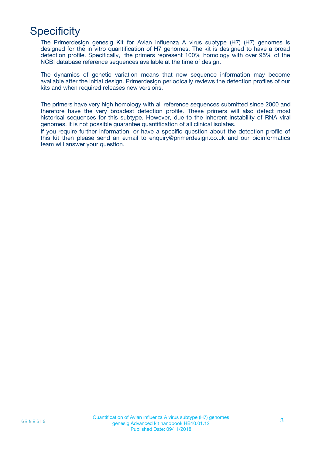# **Specificity**

The Primerdesign genesig Kit for Avian influenza A virus subtype (H7) (H7) genomes is designed for the in vitro quantification of H7 genomes. The kit is designed to have a broad detection profile. Specifically, the primers represent 100% homology with over 95% of the NCBI database reference sequences available at the time of design.

The dynamics of genetic variation means that new sequence information may become available after the initial design. Primerdesign periodically reviews the detection profiles of our kits and when required releases new versions.

The primers have very high homology with all reference sequences submitted since 2000 and therefore have the very broadest detection profile. These primers will also detect most historical sequences for this subtype. However, due to the inherent instability of RNA viral genomes, it is not possible guarantee quantification of all clinical isolates.

If you require further information, or have a specific question about the detection profile of this kit then please send an e.mail to enquiry@primerdesign.co.uk and our bioinformatics team will answer your question.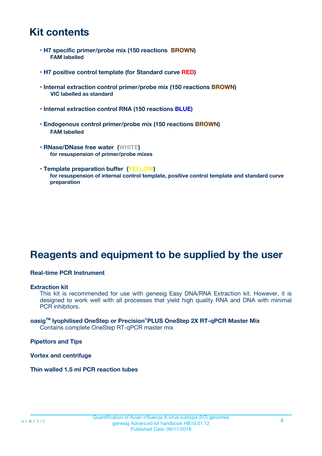### **Kit contents**

- **H7 specific primer/probe mix (150 reactions BROWN) FAM labelled**
- **H7 positive control template (for Standard curve RED)**
- **Internal extraction control primer/probe mix (150 reactions BROWN) VIC labelled as standard**
- **Internal extraction control RNA (150 reactions BLUE)**
- **Endogenous control primer/probe mix (150 reactions BROWN) FAM labelled**
- **RNase/DNase free water (WHITE) for resuspension of primer/probe mixes**
- **Template preparation buffer (YELLOW) for resuspension of internal control template, positive control template and standard curve preparation**

### **Reagents and equipment to be supplied by the user**

#### **Real-time PCR Instrument**

#### **Extraction kit**

This kit is recommended for use with genesig Easy DNA/RNA Extraction kit. However, it is designed to work well with all processes that yield high quality RNA and DNA with minimal PCR inhibitors.

#### **oasigTM lyophilised OneStep or Precision**®**PLUS OneStep 2X RT-qPCR Master Mix** Contains complete OneStep RT-qPCR master mix

**Pipettors and Tips**

**Vortex and centrifuge**

**Thin walled 1.5 ml PCR reaction tubes**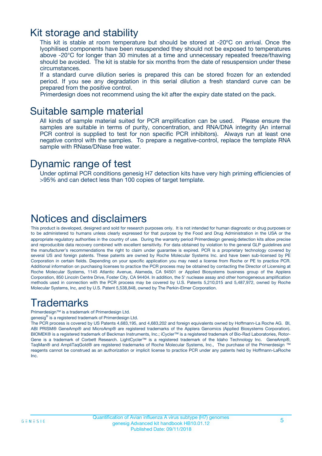### Kit storage and stability

This kit is stable at room temperature but should be stored at -20ºC on arrival. Once the lyophilised components have been resuspended they should not be exposed to temperatures above -20°C for longer than 30 minutes at a time and unnecessary repeated freeze/thawing should be avoided. The kit is stable for six months from the date of resuspension under these circumstances.

If a standard curve dilution series is prepared this can be stored frozen for an extended period. If you see any degradation in this serial dilution a fresh standard curve can be prepared from the positive control.

Primerdesign does not recommend using the kit after the expiry date stated on the pack.

### Suitable sample material

All kinds of sample material suited for PCR amplification can be used. Please ensure the samples are suitable in terms of purity, concentration, and RNA/DNA integrity (An internal PCR control is supplied to test for non specific PCR inhibitors). Always run at least one negative control with the samples. To prepare a negative-control, replace the template RNA sample with RNase/DNase free water.

### Dynamic range of test

Under optimal PCR conditions genesig H7 detection kits have very high priming efficiencies of >95% and can detect less than 100 copies of target template.

### Notices and disclaimers

This product is developed, designed and sold for research purposes only. It is not intended for human diagnostic or drug purposes or to be administered to humans unless clearly expressed for that purpose by the Food and Drug Administration in the USA or the appropriate regulatory authorities in the country of use. During the warranty period Primerdesign genesig detection kits allow precise and reproducible data recovery combined with excellent sensitivity. For data obtained by violation to the general GLP guidelines and the manufacturer's recommendations the right to claim under guarantee is expired. PCR is a proprietary technology covered by several US and foreign patents. These patents are owned by Roche Molecular Systems Inc. and have been sub-licensed by PE Corporation in certain fields. Depending on your specific application you may need a license from Roche or PE to practice PCR. Additional information on purchasing licenses to practice the PCR process may be obtained by contacting the Director of Licensing at Roche Molecular Systems, 1145 Atlantic Avenue, Alameda, CA 94501 or Applied Biosystems business group of the Applera Corporation, 850 Lincoln Centre Drive, Foster City, CA 94404. In addition, the 5' nuclease assay and other homogeneous amplification methods used in connection with the PCR process may be covered by U.S. Patents 5,210,015 and 5,487,972, owned by Roche Molecular Systems, Inc, and by U.S. Patent 5,538,848, owned by The Perkin-Elmer Corporation.

### Trademarks

Primerdesign™ is a trademark of Primerdesign Ltd.

genesig® is a registered trademark of Primerdesign Ltd.

The PCR process is covered by US Patents 4,683,195, and 4,683,202 and foreign equivalents owned by Hoffmann-La Roche AG. BI, ABI PRISM® GeneAmp® and MicroAmp® are registered trademarks of the Applera Genomics (Applied Biosystems Corporation). BIOMEK® is a registered trademark of Beckman Instruments, Inc.; iCycler™ is a registered trademark of Bio-Rad Laboratories, Rotor-Gene is a trademark of Corbett Research. LightCycler™ is a registered trademark of the Idaho Technology Inc. GeneAmp®, TaqMan® and AmpliTaqGold® are registered trademarks of Roche Molecular Systems, Inc., The purchase of the Primerdesign ™ reagents cannot be construed as an authorization or implicit license to practice PCR under any patents held by Hoffmann-LaRoche Inc.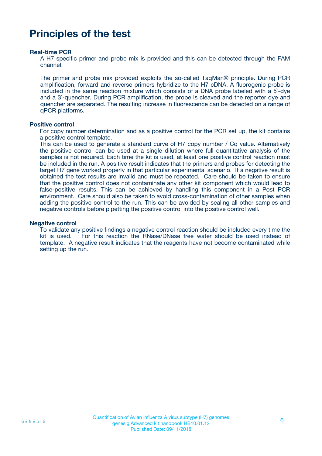### **Principles of the test**

#### **Real-time PCR**

A H7 specific primer and probe mix is provided and this can be detected through the FAM channel.

The primer and probe mix provided exploits the so-called TaqMan® principle. During PCR amplification, forward and reverse primers hybridize to the H7 cDNA. A fluorogenic probe is included in the same reaction mixture which consists of a DNA probe labeled with a 5`-dye and a 3`-quencher. During PCR amplification, the probe is cleaved and the reporter dye and quencher are separated. The resulting increase in fluorescence can be detected on a range of qPCR platforms.

#### **Positive control**

For copy number determination and as a positive control for the PCR set up, the kit contains a positive control template.

This can be used to generate a standard curve of H7 copy number / Cq value. Alternatively the positive control can be used at a single dilution where full quantitative analysis of the samples is not required. Each time the kit is used, at least one positive control reaction must be included in the run. A positive result indicates that the primers and probes for detecting the target H7 gene worked properly in that particular experimental scenario. If a negative result is obtained the test results are invalid and must be repeated. Care should be taken to ensure that the positive control does not contaminate any other kit component which would lead to false-positive results. This can be achieved by handling this component in a Post PCR environment. Care should also be taken to avoid cross-contamination of other samples when adding the positive control to the run. This can be avoided by sealing all other samples and negative controls before pipetting the positive control into the positive control well.

#### **Negative control**

To validate any positive findings a negative control reaction should be included every time the kit is used. For this reaction the RNase/DNase free water should be used instead of template. A negative result indicates that the reagents have not become contaminated while setting up the run.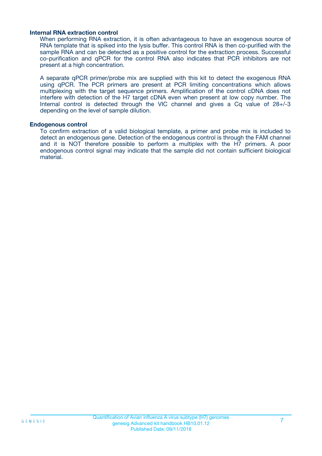#### **Internal RNA extraction control**

When performing RNA extraction, it is often advantageous to have an exogenous source of RNA template that is spiked into the lysis buffer. This control RNA is then co-purified with the sample RNA and can be detected as a positive control for the extraction process. Successful co-purification and qPCR for the control RNA also indicates that PCR inhibitors are not present at a high concentration.

A separate qPCR primer/probe mix are supplied with this kit to detect the exogenous RNA using qPCR. The PCR primers are present at PCR limiting concentrations which allows multiplexing with the target sequence primers. Amplification of the control cDNA does not interfere with detection of the H7 target cDNA even when present at low copy number. The Internal control is detected through the VIC channel and gives a Cq value of 28+/-3 depending on the level of sample dilution.

#### **Endogenous control**

To confirm extraction of a valid biological template, a primer and probe mix is included to detect an endogenous gene. Detection of the endogenous control is through the FAM channel and it is NOT therefore possible to perform a multiplex with the H7 primers. A poor endogenous control signal may indicate that the sample did not contain sufficient biological material.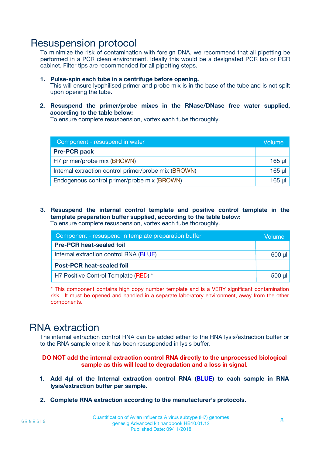### Resuspension protocol

To minimize the risk of contamination with foreign DNA, we recommend that all pipetting be performed in a PCR clean environment. Ideally this would be a designated PCR lab or PCR cabinet. Filter tips are recommended for all pipetting steps.

- **1. Pulse-spin each tube in a centrifuge before opening.** This will ensure lyophilised primer and probe mix is in the base of the tube and is not spilt upon opening the tube.
- **2. Resuspend the primer/probe mixes in the RNase/DNase free water supplied, according to the table below:**

To ensure complete resuspension, vortex each tube thoroughly.

| Component - resuspend in water                       |          |  |
|------------------------------------------------------|----------|--|
| <b>Pre-PCR pack</b>                                  |          |  |
| H7 primer/probe mix (BROWN)                          | $165$ µl |  |
| Internal extraction control primer/probe mix (BROWN) | $165$ µl |  |
| Endogenous control primer/probe mix (BROWN)          | 165 µl   |  |

**3. Resuspend the internal control template and positive control template in the template preparation buffer supplied, according to the table below:** To ensure complete resuspension, vortex each tube thoroughly.

| Component - resuspend in template preparation buffer |             |  |  |
|------------------------------------------------------|-------------|--|--|
| <b>Pre-PCR heat-sealed foil</b>                      |             |  |  |
| Internal extraction control RNA (BLUE)               |             |  |  |
| <b>Post-PCR heat-sealed foil</b>                     |             |  |  |
| H7 Positive Control Template (RED) *                 | $500$ $\mu$ |  |  |

\* This component contains high copy number template and is a VERY significant contamination risk. It must be opened and handled in a separate laboratory environment, away from the other components.

### RNA extraction

The internal extraction control RNA can be added either to the RNA lysis/extraction buffer or to the RNA sample once it has been resuspended in lysis buffer.

#### **DO NOT add the internal extraction control RNA directly to the unprocessed biological sample as this will lead to degradation and a loss in signal.**

- **1. Add 4µ**l **of the Internal extraction control RNA (BLUE) to each sample in RNA lysis/extraction buffer per sample.**
- **2. Complete RNA extraction according to the manufacturer's protocols.**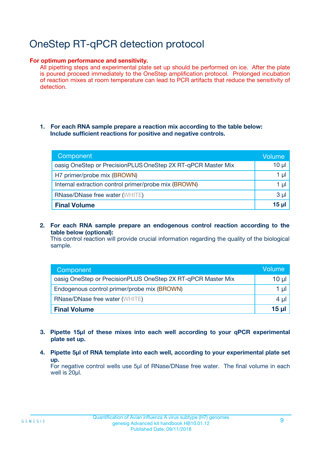# OneStep RT-qPCR detection protocol

#### **For optimum performance and sensitivity.**

All pipetting steps and experimental plate set up should be performed on ice. After the plate is poured proceed immediately to the OneStep amplification protocol. Prolonged incubation of reaction mixes at room temperature can lead to PCR artifacts that reduce the sensitivity of detection.

#### **1. For each RNA sample prepare a reaction mix according to the table below: Include sufficient reactions for positive and negative controls.**

| Component                                                    | <b>Volume</b> |
|--------------------------------------------------------------|---------------|
| oasig OneStep or PrecisionPLUS OneStep 2X RT-qPCR Master Mix | $10 \mu$      |
| H7 primer/probe mix (BROWN)                                  | 1 µI          |
| Internal extraction control primer/probe mix (BROWN)         | 1 µI          |
| <b>RNase/DNase free water (WHITE)</b>                        | $3 \mu$       |
| <b>Final Volume</b>                                          | 15 µl         |

**2. For each RNA sample prepare an endogenous control reaction according to the table below (optional):**

This control reaction will provide crucial information regarding the quality of the biological sample.

| Component                                                    | Volume   |
|--------------------------------------------------------------|----------|
| oasig OneStep or PrecisionPLUS OneStep 2X RT-qPCR Master Mix | 10 $\mu$ |
| Endogenous control primer/probe mix (BROWN)                  | 1 ul     |
| <b>RNase/DNase free water (WHITE)</b>                        | $4 \mu$  |
| <b>Final Volume</b>                                          | 15 µl    |

- **3. Pipette 15µl of these mixes into each well according to your qPCR experimental plate set up.**
- **4. Pipette 5µl of RNA template into each well, according to your experimental plate set up.**

For negative control wells use 5µl of RNase/DNase free water. The final volume in each well is 20µl.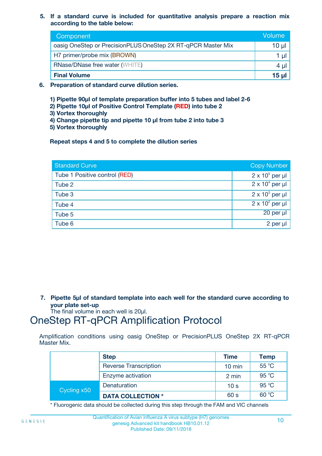**5. If a standard curve is included for quantitative analysis prepare a reaction mix according to the table below:**

| Component                                                    | Volume       |
|--------------------------------------------------------------|--------------|
| oasig OneStep or PrecisionPLUS OneStep 2X RT-qPCR Master Mix | 10 µl        |
| H7 primer/probe mix (BROWN)                                  | 1 µI         |
| <b>RNase/DNase free water (WHITE)</b>                        | 4 µl         |
| <b>Final Volume</b>                                          | <u>15 µl</u> |

- **6. Preparation of standard curve dilution series.**
	- **1) Pipette 90µl of template preparation buffer into 5 tubes and label 2-6**
	- **2) Pipette 10µl of Positive Control Template (RED) into tube 2**
	- **3) Vortex thoroughly**
	- **4) Change pipette tip and pipette 10 µl from tube 2 into tube 3**
	- **5) Vortex thoroughly**

**Repeat steps 4 and 5 to complete the dilution series**

| <b>Standard Curve</b>         | <b>Copy Number</b>     |
|-------------------------------|------------------------|
| Tube 1 Positive control (RED) | $2 \times 10^5$ per µl |
| Tube 2                        | $2 \times 10^4$ per µl |
| Tube 3                        | $2 \times 10^3$ per µl |
| Tube 4                        | $2 \times 10^2$ per µl |
| Tube 5                        | 20 per µl              |
| Tube 6                        | $2$ per $\mu$          |

**7. Pipette 5µl of standard template into each well for the standard curve according to your plate set-up**

The final volume in each well is 20µl.

### OneStep RT-qPCR Amplification Protocol

Amplification conditions using oasig OneStep or PrecisionPLUS OneStep 2X RT-qPCR Master Mix.

|             | <b>Step</b>                  | <b>Time</b>      | <b>Temp</b> |
|-------------|------------------------------|------------------|-------------|
|             | <b>Reverse Transcription</b> | $10 \text{ min}$ | 55 °C       |
|             | Enzyme activation            | 2 min            | 95 °C       |
| Cycling x50 | Denaturation                 | 10 <sub>s</sub>  | 95 °C       |
|             | <b>DATA COLLECTION *</b>     | 60 s             | 60 °C       |

\* Fluorogenic data should be collected during this step through the FAM and VIC channels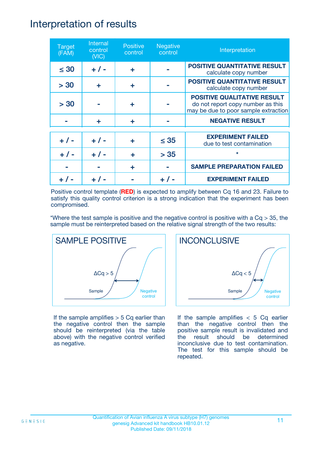### Interpretation of results

| <b>Target</b><br>(FAM) | Internal<br>control<br>(NIC) | <b>Positive</b><br>control | <b>Negative</b><br>control | Interpretation                                                                                                  |
|------------------------|------------------------------|----------------------------|----------------------------|-----------------------------------------------------------------------------------------------------------------|
| $\leq 30$              | $+ 1 -$                      | ÷                          |                            | <b>POSITIVE QUANTITATIVE RESULT</b><br>calculate copy number                                                    |
| > 30                   | ÷                            | ÷                          |                            | <b>POSITIVE QUANTITATIVE RESULT</b><br>calculate copy number                                                    |
| > 30                   |                              | ÷                          |                            | <b>POSITIVE QUALITATIVE RESULT</b><br>do not report copy number as this<br>may be due to poor sample extraction |
|                        | ÷                            | ÷                          |                            | <b>NEGATIVE RESULT</b>                                                                                          |
| $+ 1 -$                | $+ 1 -$                      | ÷                          | $\leq$ 35                  | <b>EXPERIMENT FAILED</b><br>due to test contamination                                                           |
| $+ 1 -$                | $+ 1 -$                      | ÷                          | > 35                       | $\star$                                                                                                         |
|                        |                              | ÷                          |                            | <b>SAMPLE PREPARATION FAILED</b>                                                                                |
|                        |                              |                            |                            | <b>EXPERIMENT FAILED</b>                                                                                        |

Positive control template (**RED**) is expected to amplify between Cq 16 and 23. Failure to satisfy this quality control criterion is a strong indication that the experiment has been compromised.

\*Where the test sample is positive and the negative control is positive with a  $Cq > 35$ , the sample must be reinterpreted based on the relative signal strength of the two results:



If the sample amplifies  $> 5$  Cq earlier than the negative control then the sample should be reinterpreted (via the table above) with the negative control verified as negative.



If the sample amplifies  $< 5$  Cq earlier than the negative control then the positive sample result is invalidated and the result should be determined inconclusive due to test contamination. The test for this sample should be repeated.